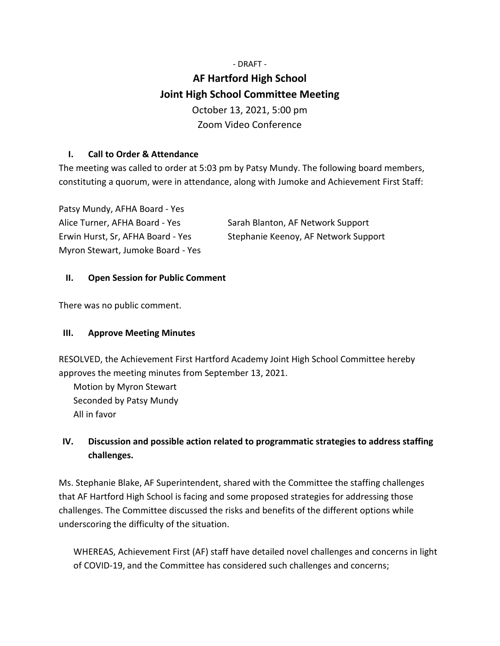# - DRAFT - **AF Hartford High School Joint High School Committee Meeting** October 13, 2021, 5:00 pm Zoom Video Conference

### **I. Call to Order & Attendance**

The meeting was called to order at 5:03 pm by Patsy Mundy. The following board members, constituting a quorum, were in attendance, along with Jumoke and Achievement First Staff:

| Patsy Mundy, AFHA Board - Yes     |                                      |
|-----------------------------------|--------------------------------------|
| Alice Turner, AFHA Board - Yes    | Sarah Blanton, AF Network Support    |
| Erwin Hurst, Sr, AFHA Board - Yes | Stephanie Keenoy, AF Network Support |
| Myron Stewart, Jumoke Board - Yes |                                      |

#### **II. Open Session for Public Comment**

There was no public comment.

### **III. Approve Meeting Minutes**

RESOLVED, the Achievement First Hartford Academy Joint High School Committee hereby approves the meeting minutes from September 13, 2021.

Motion by Myron Stewart Seconded by Patsy Mundy All in favor

## **IV. Discussion and possible action related to programmatic strategies to address staffing challenges.**

Ms. Stephanie Blake, AF Superintendent, shared with the Committee the staffing challenges that AF Hartford High School is facing and some proposed strategies for addressing those challenges. The Committee discussed the risks and benefits of the different options while underscoring the difficulty of the situation.

WHEREAS, Achievement First (AF) staff have detailed novel challenges and concerns in light of COVID-19, and the Committee has considered such challenges and concerns;